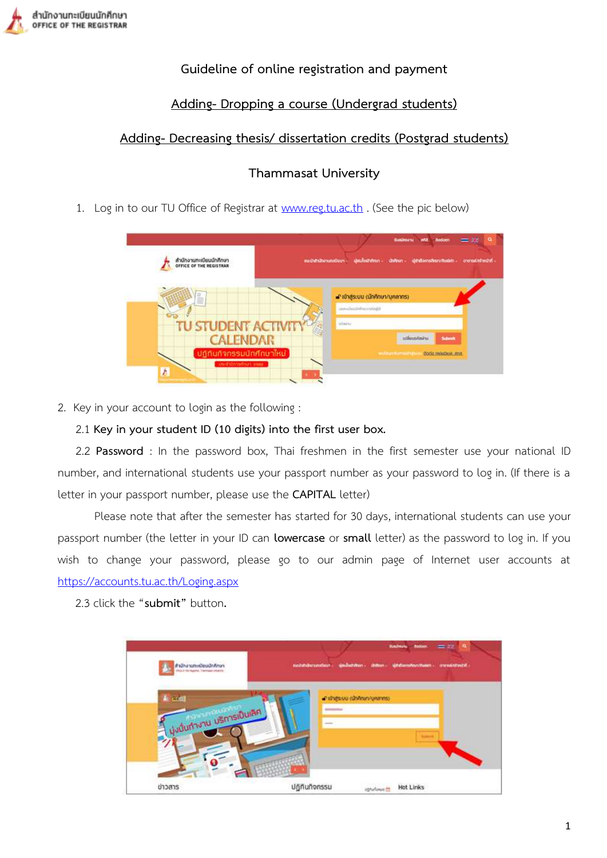## **Guideline of online registration and payment**

# **Adding- Dropping a course (Undergrad students)**

# **Adding- Decreasing thesis/ dissertation credits (Postgrad students)**

# **Thammasat University**

1. Log in to our TU Office of Registrar at [www.reg.tu.ac.th](http://www.reg.tu.ac.th/) . (See the pic below)



2. Key in your account to login as the following :

## 2.1 **Key in your student ID (10 digits) into the first user box.**

2.2 **Password** : In the password box, Thai freshmen in the first semester use your national ID number, and international students use your passport number as your password to log in. (If there is a letter in your passport number, please use the **CAPITAL** letter)

Please note that after the semester has started for 30 days, international students can use your passport number (the letter in your ID can **lowercase** or **small** letter) as the password to log in. If you wish to change your password, please go to our admin page of Internet user accounts at <https://accounts.tu.ac.th/Loging.aspx>

2.3 click the "**submit"** button**.**

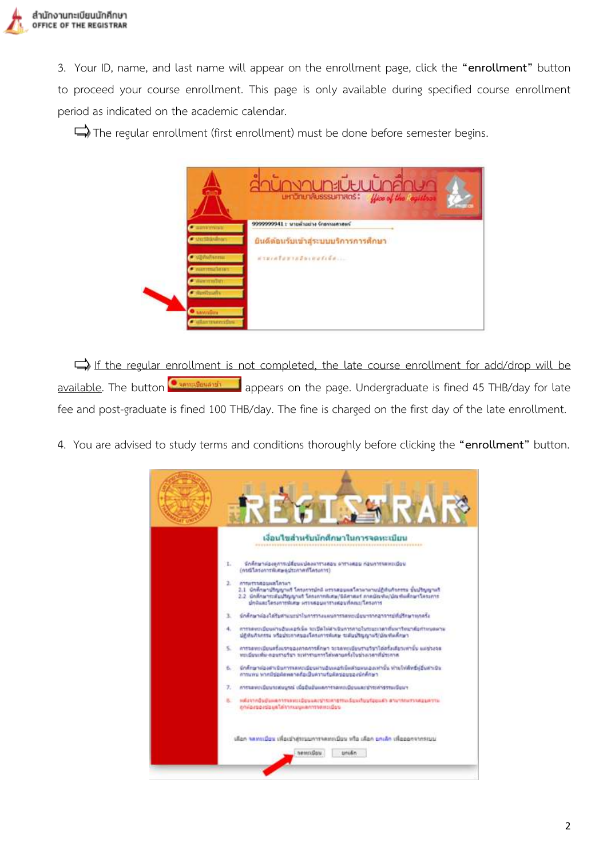3. Your ID, name, and last name will appear on the enrollment page, click the **"enrollment"** button to proceed your course enrollment. This page is only available during specified course enrollment period as indicated on the academic calendar.

 $\Rightarrow$  The regular enrollment (first enrollment) must be done before semester begins.



If the regular enrollment is not completed, the late course enrollment for add/drop will be available. The button **Comparison a** appears on the page. Undergraduate is fined 45 THB/day for late fee and post-graduate is fined 100 THB/day. The fine is charged on the first day of the late enrollment.

4. You are advised to study terms and conditions thoroughly before clicking the **"enrollment"** button.

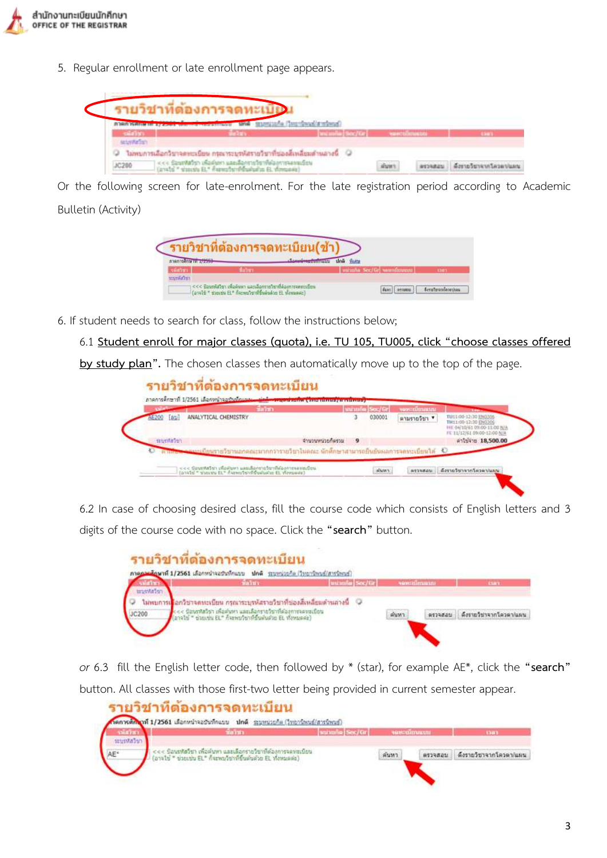

5. Regular enrollment or late enrollment page appears.

|                        | 11003101                                                                 | roof a Patentown |                          |                       |
|------------------------|--------------------------------------------------------------------------|------------------|--------------------------|-----------------------|
| ni rix<br>seter/fation |                                                                          |                  | <b>THE REAL PROPERTY</b> |                       |
| 1200                   | ไม่พบการเลือกวิชาลดพะเบียน กรอเพราะหลังรายวิชาที่ช่องสิ่งหลี่ยมตำแลวงนี้ |                  |                          | <b>Germanysvaluus</b> |

Or the following screen for late-enrolment. For the late registration period according to Academic Bulletin (Activity)

|            | รายวิชาที่ต้องการจดทะเบียน(ข                                                                                          |                           |    |
|------------|-----------------------------------------------------------------------------------------------------------------------|---------------------------|----|
| เพิ่มวิชา  | Martin a                                                                                                              | www.ne Sec/Gri seminimum) | mm |
| ersmilativ | ≤<< ป้องกรัสวิชา เพื่อดันทา และเอือกราชวิชาที่ต้องการจดทะเบียน<br>(avald * diesdu EL* Astronium finandiu EL vienusse) |                           |    |

6. If student needs to search for class, follow the instructions below;

6.1 **Student enroll for major classes (quota), i.e. TU 105, TU005, click "choose classes offered** 

**by study plan".** The chosen classes then automatically move up to the top of the page.

|               | นี้แว้ชา                                                                                              |      | uu una Sec/Gri | vontrumum    | <b>Baltimore</b>                                                                                           |
|---------------|-------------------------------------------------------------------------------------------------------|------|----------------|--------------|------------------------------------------------------------------------------------------------------------|
| [61]          | ANALYTICAL CHEMISTRY                                                                                  | з    | 030001         | ตามรายวิชา ▼ | TU11/00-12/30 ENG306<br>TH11/00-12:30 ENG306<br>HE 04/10/61 09:00-11:00 N/A<br>FE 11/12/61 09/00-12/00 N/A |
| satisfila 261 | uccelhocizmucuno                                                                                      | $-9$ |                |              | #111410 18,500.00                                                                                          |
|               | <del>่คนสะดา จากะเป็ยน</del> รายวิชานอกตณะมากกว่ารวยวิชาไมลณะ นักศึกษาสามารถยืนยันผลการจดทะเบียนได้ ↓ |      |                |              |                                                                                                            |

6.2 In case of choosing desired class, fill the course code which consists of English letters and 3 digits of the course code with no space. Click the **"search"** button.

|          | <b>Balm</b>                                                                                                            | unnen Sec/Gr | sawrailmauni | <b>Clark</b>           |
|----------|------------------------------------------------------------------------------------------------------------------------|--------------|--------------|------------------------|
| refshrum |                                                                                                                        |              |              |                        |
|          | ใจไทยภารเ <mark>รื่</mark> อกวิชาจดทะเบียน กรณาระบทงัสรายวิชาที่ช่องสี่เหลี่ยมดำนลางนี้ - ©                            |              |              |                        |
| JC200    | นิอนรหัสวิรา เพื่อคำหา และเลือกรายวิชาที่ต่องการจดหมบิยน<br>anals" ร่วมเช่น EL" ก็จะพบวิชาที่รับฟันด้วย EL ทั้งหมดค่ะ) |              | ต้นทา        | ด้งรายวิชาจากโควดา/แผน |

*or* 6.3 fill the English letter code, then followed by \* (star), for example AE\*, click the **"search"** button. All classes with those first-two letter being provided in current semester appear.

|             | Saints:                                                                                                                      | winning Sec/Gr |       | ventalmuum | <b>STORY</b>           |
|-------------|------------------------------------------------------------------------------------------------------------------------------|----------------|-------|------------|------------------------|
| setenta Sun |                                                                                                                              |                |       |            |                        |
|             | ป้อนชหัสวิชา เพื่อค้นหา และเดือกรายวิชาที่ต้องการจดหะเบียน<br>(อาจไข่ " ข่วยเช่น EL" ก็จะพบวิชาที่ขึ้นต้นด้วย EL ทั้งพบตต่อ) |                | ค์นหา | 8533821    | ด้งรายวิชาจากโควดา/แผน |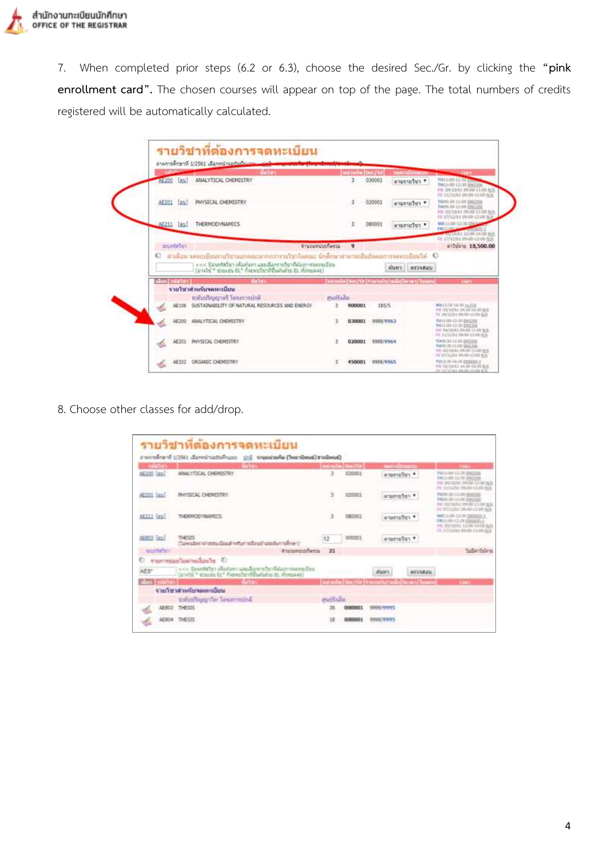

7. When completed prior steps (6.2 or 6.3), choose the desired Sec./Gr. by clicking the **"pink enrollment card".** The chosen courses will appear on top of the page. The total numbers of credits registered will be automatically calculated.

|         |                  | <b>Taim</b>                                                                                                                                                |                          | securities Sec./Gr. |           | summation and many                         |         | <b>Contract Contract</b>                                                                                                                                                              |
|---------|------------------|------------------------------------------------------------------------------------------------------------------------------------------------------------|--------------------------|---------------------|-----------|--------------------------------------------|---------|---------------------------------------------------------------------------------------------------------------------------------------------------------------------------------------|
|         | AE200 [au]       | ANALYTICAL CHEMISTRY                                                                                                                                       |                          | r                   | 030001    | * רפלטרצערה                                |         | TU11:00-12:00 pm<br>TH11:00-12:30 EMSISTS<br>HE DICESS DROD-11:00 N/A<br>FR: 11/12/42 09:00-12:00 NJA                                                                                 |
|         | AE201 (au)       | PHYSICAL CHEMISTRY                                                                                                                                         |                          | y.                  | 020001    | * ratorers                                 |         | TUOSCIO-11/00 ENCODE<br>THOSE 20-11-00 END201<br>FWE 02/30/61 09:00-11:00 N/A                                                                                                         |
|         | AE211 [Au]       | <b>THERMODYNAMICS</b>                                                                                                                                      |                          | 3                   | 080001    | * reforeira                                |         | FE 07/12/E1 09/00-12/01 N/A<br>WELL OD-LINE LINES<br><b>FRIDAY IN CONSUMIT</b><br>一 15/13/81 12:00-14:00 NM                                                                           |
|         | <b>SELVATION</b> |                                                                                                                                                            | <b>Engineerist-fessu</b> | $\mathbf{q}$        |           |                                            |         | FE 17/12/61 09:00-12:00 N/A<br>#11141# 18.500.00                                                                                                                                      |
| $\circ$ |                  | สำเด็จน จดทะเบียนรายวิชานอกสอะมากกว่ารายวิชาไทยสะ นักศึกษาสายารถยิ้นยันผลการจดทะเบียนวิด   ©<br><<< Saustals: เพื่อพิมาร และเลือกระวัชาที่ต้องการจองเบริยะ |                          |                     |           | SUN'S                                      | wroodau |                                                                                                                                                                                       |
|         | Gan ( use) FL    | (anals) * sonsta EL* Asswahrmenswick EL Members)<br><b>THOMA</b>                                                                                           |                          |                     |           | [wombs] Sec/Or] Youngu/m&s] in and Tugent] |         |                                                                                                                                                                                       |
|         |                  | รายวิชาสำหรับจอทะเบียน                                                                                                                                     |                          |                     |           |                                            |         |                                                                                                                                                                                       |
|         | AE106            | <b><i>Molarcoana Terroristical</i>ty</b><br>SUSTAINABLITY OF NATURAL RESOURCES AND ENERGY                                                                  | alletium                 | 900001              | 185/5     |                                            |         |                                                                                                                                                                                       |
|         | 46200            | ANALYTICAL CHEMISTRY                                                                                                                                       | ı                        | 030001              | 9999/9963 |                                            |         | <b>DAY</b><br>WE15/30-18.30 ys.51E<br>FRE 1021/07/03 3/6:30-14:30 5628<br>PE 18/12/R1 09:00-12:00 B/A<br>T011:00-12:30 UM1001<br>THIS OD-12:35 ENGINE<br>HVL RA/10/03.09v90-13.00 %/6 |
|         |                  | AE201 PHYSICAL CHEMISTRY                                                                                                                                   |                          | 020001              | 0000/9964 |                                            |         | FE ELISINE STAND CLOSE MAY<br>TOOSOO ELIIN ENGODE<br>TH09/30-11/00 EN0206<br>PHF ROZYNIVAI (PR-DP-51/00 R/A<br>PE BT/12/AT INVIOLAZIONALE                                             |

8. Choose other classes for add/drop.

| sinn.                | talen.                                                                                                    |                | <b>Designate Des (S2)</b> | <b>SERVICE AND INCOME.</b>                                |         | <b>CENTRAL</b>                                                                                                  |
|----------------------|-----------------------------------------------------------------------------------------------------------|----------------|---------------------------|-----------------------------------------------------------|---------|-----------------------------------------------------------------------------------------------------------------|
| AE200 Tas!           | ANALYTICAL CHEMISTRY                                                                                      | з              | <b>E10001</b>             | ammaten *                                                 |         | PATILO AND COUND ABANCOUN<br>THIS HIP CO-TO ENTITE<br>FRE DIVISIONS REVOLUTIONS<br>PE M/LTAL BRAD (2-00 B/S)    |
| <b>AE201 [as]</b>    | <b>INVSICAL CHENISTRY</b>                                                                                 | 3              | 020001                    | reference                                                 |         | TMOTH 20 13:00 SIMILIAN<br><b>EMOS 33-CLIED DISCON</b><br>PA SETERI ENGLISHER<br>FE RITICIRE DI-RA (210) SIA    |
| AEZII (au)           | THERMODYNAMICS.                                                                                           | 3              | DRODOT                    | arternation *                                             |         | WE 11/05-21-32 PAGE(0) S<br><b>FRIDAYS-CLOUD ENGINEERS</b><br>HE RUSSEL LEGS SARD NO.<br>IS IT/OSI ING O IS \$4 |
| AEBOZ Tas!           | THESTS.<br>("sivistical remotes a returnate of undistrators")                                             | 12             | 000001                    | <b>ATMONSOFT</b>                                          |         |                                                                                                                 |
| <b>America</b> Servi | <b><i><u>Engineering</u></i></b>                                                                          | 21             |                           |                                                           |         |                                                                                                                 |
| €                    | O glashariaalaanin O                                                                                      |                |                           |                                                           |         |                                                                                                                 |
| AE8°                 | ccc Stunkthy) photosy usually retrostate prosecution<br>(and) a shorts Et* Franchy (Marialho Et Mensavia) |                |                           |                                                           | 9819825 |                                                                                                                 |
| <b>Seat Lawrence</b> | the term                                                                                                  |                |                           | I we must be you that it controlled with the wealth court |         | <b>TANK</b>                                                                                                     |
|                      | unitment/order in the control                                                                             |                |                           |                                                           |         |                                                                                                                 |
|                      | sofanfloggyler lasanvedné                                                                                 | <b>PACTARE</b> |                           |                                                           |         |                                                                                                                 |
|                      | <b>MADI THRUS</b>                                                                                         |                | 000001                    | <b>DODG/0/915</b>                                         |         |                                                                                                                 |
|                      | THESIS                                                                                                    | 18             | 00000                     | <b>DOM: YEST</b>                                          |         |                                                                                                                 |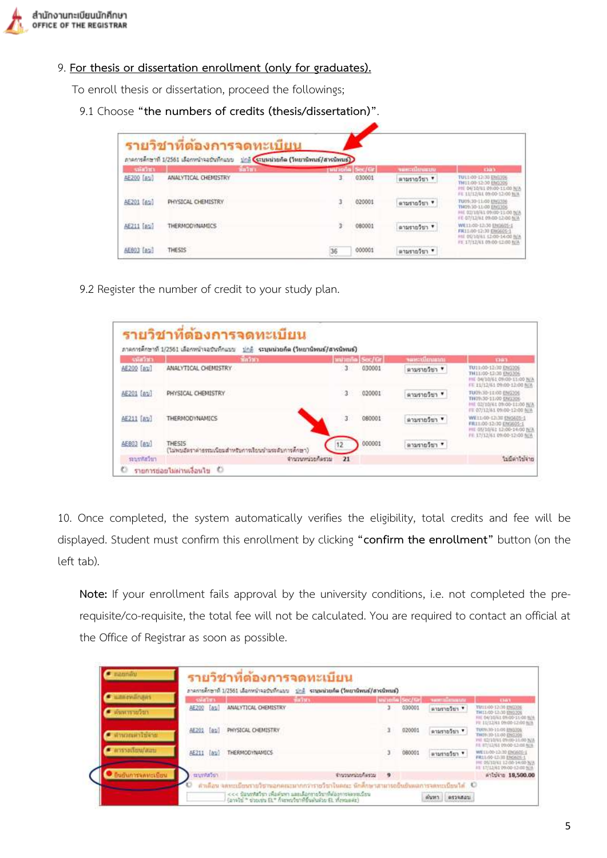

9. **For thesis or dissertation enrollment (only for graduates).**

To enroll thesis or dissertation, proceed the followings;

9.1 Choose **"the numbers of credits (thesis/dissertation)"**.

|               | ภาคการศึกษาที่ 1/2561 เดือกหน้าจอบันทึกแบบ                                     | ปกติ (ระบบเป็นก็ต (วิทยานิพนธ์/สารนิพนธ์)) |        |              |                                                                                                                 |
|---------------|--------------------------------------------------------------------------------|--------------------------------------------|--------|--------------|-----------------------------------------------------------------------------------------------------------------|
| <b>SHEREL</b> | <b>Salm</b>                                                                    | panona Sec/Gr                              |        | vencolmeno   | <b>Giab</b>                                                                                                     |
| AE200 [au]    | ANALYTICAL CHEMISTRY<br>In the computation of the transport of the computation | з.                                         | 030001 | ลานรายวิชา * | TULL:00-12:30 ERGUSS<br>TH11:00-12:30 EM3306<br>PH 04/10/61 09:00-11:00 N/A<br>FE 11/12/61 09:00-12:00 N/A      |
| AE201 [61]    | PHYSICAL CHEMISTRY                                                             |                                            | 020001 | * reformers  | TU09(30-11/00 ENG306)<br>T409-30-11/00 ENG306<br>HE 02/10/41 09:00-11:00 N/A<br>FE-07/13/91 09:00-12:00 N/A     |
| AE211 [au]    | THERMODYNAMICS                                                                 |                                            | 080001 | ดามรายวิชา ♥ | WE11/00-12/30 EN9605-1<br>FM11:00-12:30 ERG605-1<br>HE 00/10/61 12:00-14:00 N/A<br>FE 17/12/61 09:00-12:00 fs/A |
| AE803 [au]    | THESIS                                                                         | 36                                         | 000001 | ตามรายวิชา ▼ |                                                                                                                 |

9.2 Register the number of credit to your study plan.

|             | ภาคการศึกษาที่ 1/2561 เลือกหน้าจอบันทึกแบบ                      | ปกติ ระบุหน่วยกิด (วิทยานิพนธ์/สารนิพนธ์) |                      |              |                                                                                                                 |
|-------------|-----------------------------------------------------------------|-------------------------------------------|----------------------|--------------|-----------------------------------------------------------------------------------------------------------------|
| said into   | ที่กว้ายา                                                       |                                           | <b>Minnie</b> Sec/Gr | sassalmann   | man                                                                                                             |
| AE200 [au]  | ANALYTICAL CHEMISTRY                                            | з                                         | 030001               | ตามรายวิชา ▼ | TU11:00-12:30 ENG10E<br>TW11/00-12:30 ENG306<br>FIE D4/10/61 09:00-11:00 N/A<br>FE 11/12/61 09:00-12:00 NJA     |
| AE201 [av]  | PHYSICAL CHENISTRY                                              | 3                                         | 020001               | ตามรายวิชา * | TUOS:30-11:00 ENG206<br>THOS:30-11/00 SHEERS<br>HE 02/10/61 09:00-11:00 N/A<br>FE 07/12/61 09:00-12:00 M/A      |
| AE211 [81]  | THERMODYNAMICS                                                  | 3                                         | 080001               | ตามรายวิชา ▼ | WE11-00-12:30 ENGAGE-1<br>FR11:00-12:30 ENG605-1<br>FIE 05/10/61 12:00-14:00 N/A<br>FE 17/12/61 09/00-12:00 N/A |
| AE803 [av]  | THESIS<br>(ไม่พบอัตราค่าธรรมนิยมสำหรับการเรียนกำมระดับการคักษา) | 12                                        | 000001               | י רמלמרצות   |                                                                                                                 |
| saustitatum | WEEK BENEFALL AND CONTRACTOR OF A SANDARY HIM                   | จำนวนหน่วยก็ครวม<br>21                    |                      |              | ในนิคาใช้จ่าย                                                                                                   |

10. Once completed, the system automatically verifies the eligibility, total credits and fee will be displayed. Student must confirm this enrollment by clicking **"confirm the enrollment"** button (on the left tab).

**Note:** If your enrollment fails approval by the university conditions, i.e. not completed the prerequisite/co-requisite, the total fee will not be calculated. You are required to contact an official at the Office of Registrar as soon as possible.

| <b>Children and A</b>         | sialm.            | ภาคการศึกษาที่ 1/2561 เดือกหน้าจอป่นที่กแนน : ปกติ : ระบบอย่ายก็ต (วิทยานิพนธ์/สารนิพนธ์)<br><b>Bahn</b> |             | <b>MATIONAL Sec/for</b> | susmitimuus    | <b>Clay</b>                                                                                                     |
|-------------------------------|-------------------|----------------------------------------------------------------------------------------------------------|-------------|-------------------------|----------------|-----------------------------------------------------------------------------------------------------------------|
| $\blacksquare$ เป็นพาราชวิวิท | AE200 [au]        | ANALYTICAL CHEMISTRY<br>일상 이렇게 하는 것들이 사람들                                                                | $3^{\circ}$ | 030001                  | wharmother     | TU11/00-12:30 ENGINE<br>THEL-00-12-30 0363206<br>FRE 64/35/61 09/00-11/00 805<br>PR 11/12/41 09:00-12:00 8t/8   |
| stagman brane                 | AE201 [ap]        | PHYSICAL CHEMISTRY                                                                                       |             | 920001                  | marries of the | TUOV.30-11/00 ENS306<br>THOS: 10-11/00 EN2205<br>F67 62/10/61-09/03-11/00 N/A<br>FR 87/12/63 09:00-12:00 N/A    |
| trun/uru/arm                  | <b>AE211</b> [aw] | THERMODYNAMICS                                                                                           |             | 080001                  | whatshafter    | WE11/00-12/30 ENG605-1<br>FR11/00-12/30 ENGINE-1<br>HE DIVISIVES 12 00-14/00 N/A<br>18 17/12/61 09:00-12:00 NJA |
| <b>Budun Isamiculou</b>       | mundation.        | จำนวนหน่วยก็ครวบ                                                                                         | $^{\circ}$  |                         |                | Antukio 18,500.00                                                                                               |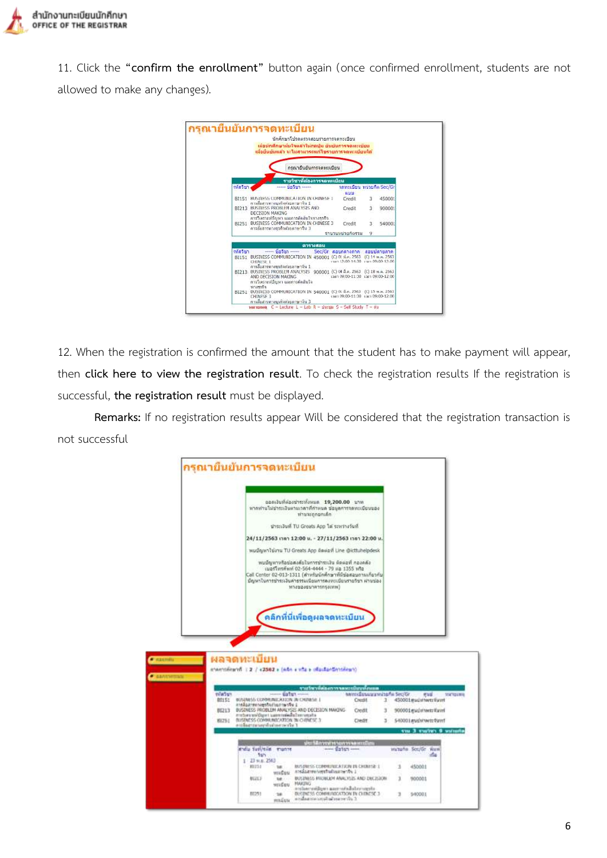

11. Click the **"confirm the enrollment"** button again (once confirmed enrollment, students are not allowed to make any changes).



12. When the registration is confirmed the amount that the student has to make payment will appear, then **click here to view the registration result**. To check the registration results If the registration is successful, **the registration result** must be displayed.

**Remarks:** If no registration results appear Will be considered that the registration transaction is not successful

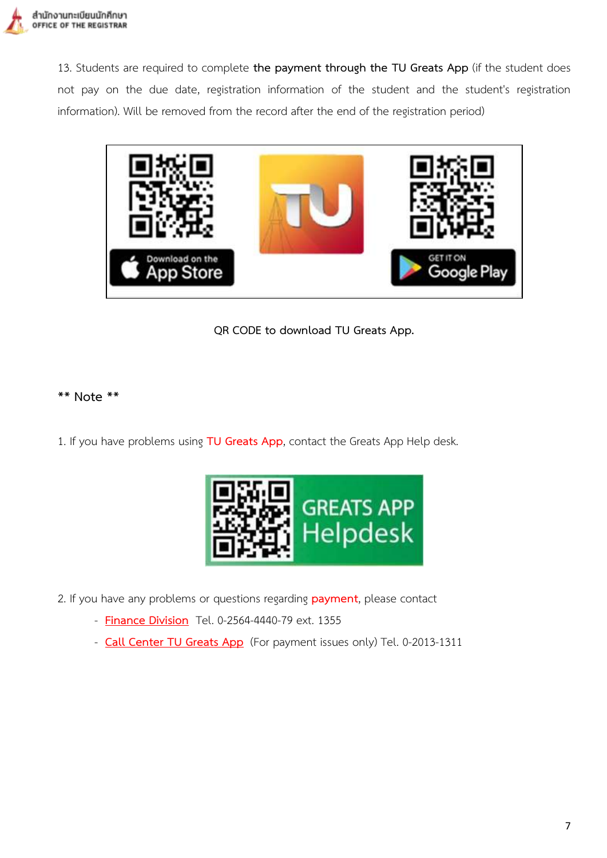

13. Students are required to complete **the payment through the TU Greats App** (if the student does not pay on the due date, registration information of the student and the student's registration information). Will be removed from the record after the end of the registration period)



**QR CODE to download TU Greats App.**

#### **\*\* Note \*\***

1. If you have problems using **TU Greats App**, contact the Greats App Help desk.



- 2. If you have any problems or questions regarding **payment**, please contact
	- **Finance Division** Tel. 0-2564-4440-79 ext. 1355
	- **Call Center TU Greats App** (For payment issues only) Tel. 0-2013-1311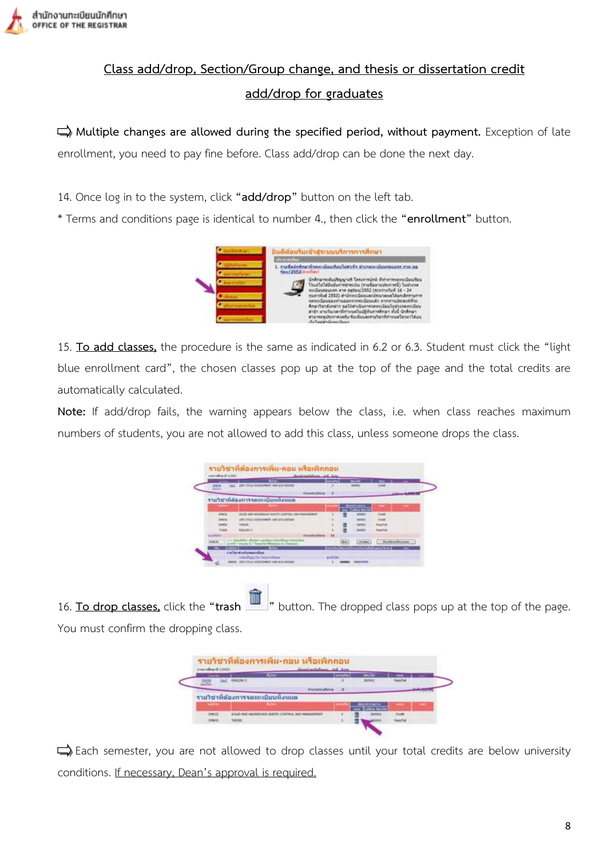

# **Class add/drop, Section/Group change, and thesis or dissertation credit add/drop for graduates**

 **Multiple changes are allowed during the specified period, without payment.** Exception of late enrollment, you need to pay fine before. Class add/drop can be done the next day.

14. Once log in to the system, click **"add/drop"** button on the left tab.

\* Terms and conditions page is identical to number 4., then click the **"enrollment"** button.



15. **To add classes,** the procedure is the same as indicated in 6.2 or 6.3. Student must click the "light blue enrollment card", the chosen classes pop up at the top of the page and the total credits are automatically calculated.

**Note:** If add/drop fails, the warning appears below the class, i.e. when class reaches maximum numbers of students, you are not allowed to add this class, unless someone drops the class.



16. **To drop classes,** click the **"trash "** button. The dropped class pops up at the top of the page. You must confirm the dropping class.

| <b>TIME</b>                      |          | ---<br>-- |  |
|----------------------------------|----------|-----------|--|
| <b>In Tree 1</b>                 |          | 36300     |  |
|                                  |          |           |  |
| รายวิชาที่ต้องการจดหะเนียนหังหนด | ________ |           |  |
|                                  |          |           |  |
| <b>CONTROLS SURFEY</b>           |          |           |  |
|                                  |          |           |  |

 $\Box$ ) Each semester, you are not allowed to drop classes until your total credits are below university conditions. If necessary, Dean's approval is required.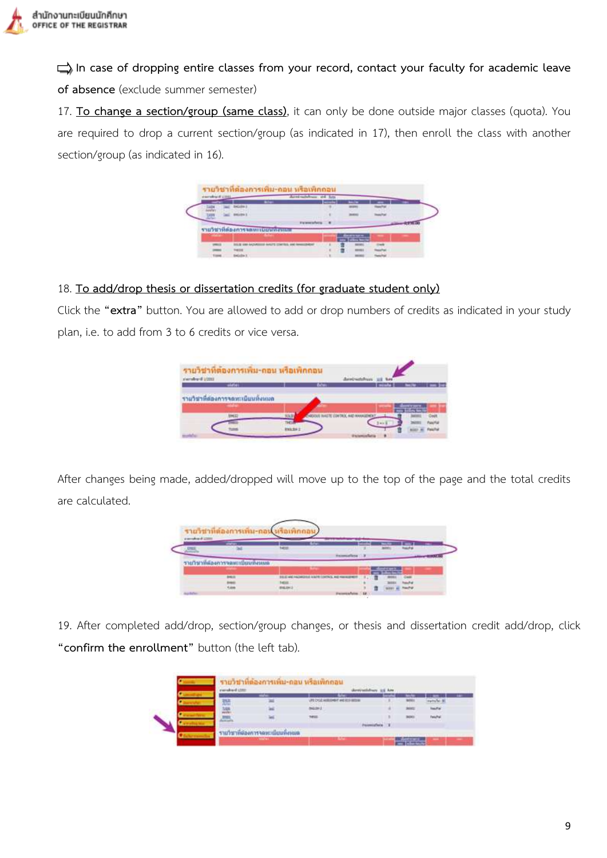

 **In case of dropping entire classes from your record, contact your faculty for academic leave of absence** (exclude summer semester)

17. **To change a section/group (same class)**, it can only be done outside major classes (quota). You are required to drop a current section/group (as indicated in 17), then enroll the class with another section/group (as indicated in 16).

| excellent UTEL |                       |    |    |  |
|----------------|-----------------------|----|----|--|
|                |                       | -- |    |  |
|                |                       |    |    |  |
|                | If you can exclude    |    |    |  |
|                | <b>SANTISEPPERENT</b> |    |    |  |
|                |                       |    |    |  |
|                |                       |    | -- |  |
|                |                       |    |    |  |
|                |                       |    |    |  |

#### 18. **To add/drop thesis or dissertation credits (for graduate student only)**

Click the **"extra"** button. You are allowed to add or drop numbers of credits as indicated in your study plan, i.e. to add from 3 to 6 credits or vice versa.

| <b>LODGE Branderski</b>           |  |
|-----------------------------------|--|
|                                   |  |
|                                   |  |
| รายวิชาที่ต่องการจดหาเบียนทั้งหมด |  |
|                                   |  |
|                                   |  |
|                                   |  |

After changes being made, added/dropped will move up to the top of the page and the total credits are calculated.

|                  | รายวิชาที่ต้องการเพิ่ม-กอ |             |                                             |            |     |  |
|------------------|---------------------------|-------------|---------------------------------------------|------------|-----|--|
| planned and 2000 |                           |             |                                             |            |     |  |
|                  | --                        | --<br>5,464 |                                             |            | --- |  |
|                  |                           |             |                                             |            |     |  |
|                  | www.astrongon.com         |             |                                             |            |     |  |
|                  |                           |             |                                             |            |     |  |
|                  | 444.00                    |             | HASHIRDED BACK CONTACT STATEMENT SUBSIDIARY | <b>THE</b> |     |  |
|                  |                           |             |                                             |            |     |  |
|                  |                           | 81023912    |                                             |            |     |  |
| <b>SHARE</b>     |                           |             | <b>Painting Adies</b> / 12                  |            |     |  |

19. After completed add/drop, section/group changes, or thesis and dissertation credit add/drop, click **"confirm the enrollment"** button (the left tab).

|  | - | <b>PEOCLASSING WORK</b> |  |  |  |
|--|---|-------------------------|--|--|--|
|  |   |                         |  |  |  |
|  |   | <b>TRANSLE</b>          |  |  |  |
|  |   | <b>HILL</b>             |  |  |  |
|  |   |                         |  |  |  |